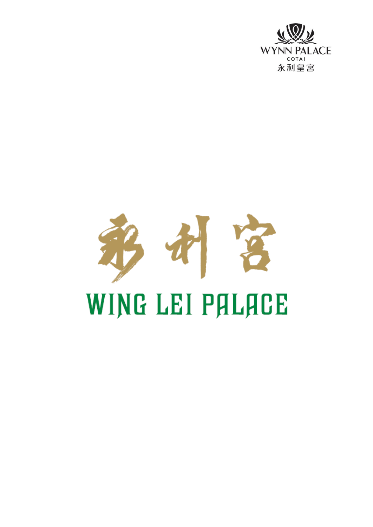

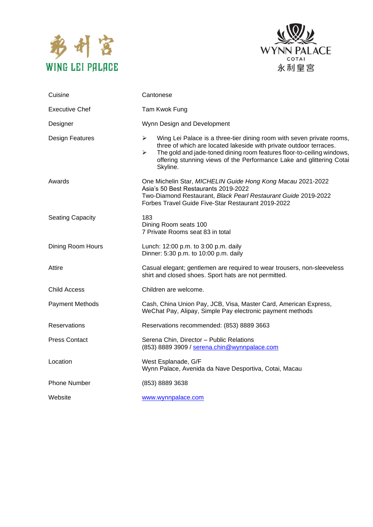



| Cuisine                 | Cantonese                                                                                                                                                                                                                                                                                                           |
|-------------------------|---------------------------------------------------------------------------------------------------------------------------------------------------------------------------------------------------------------------------------------------------------------------------------------------------------------------|
| Executive Chef          | Tam Kwok Fung                                                                                                                                                                                                                                                                                                       |
| Designer                | Wynn Design and Development                                                                                                                                                                                                                                                                                         |
| Design Features         | Wing Lei Palace is a three-tier dining room with seven private rooms,<br>➤<br>three of which are located lakeside with private outdoor terraces.<br>The gold and jade-toned dining room features floor-to-ceiling windows,<br>➤<br>offering stunning views of the Performance Lake and glittering Cotai<br>Skyline. |
| Awards                  | One Michelin Star, MICHELIN Guide Hong Kong Macau 2021-2022<br>Asia's 50 Best Restaurants 2019-2022<br>Two-Diamond Restaurant, Black Pearl Restaurant Guide 2019-2022<br>Forbes Travel Guide Five-Star Restaurant 2019-2022                                                                                         |
| <b>Seating Capacity</b> | 183<br>Dining Room seats 100<br>7 Private Rooms seat 83 in total                                                                                                                                                                                                                                                    |
| Dining Room Hours       | Lunch: 12:00 p.m. to 3:00 p.m. daily<br>Dinner: 5:30 p.m. to 10:00 p.m. daily                                                                                                                                                                                                                                       |
| Attire                  | Casual elegant; gentlemen are required to wear trousers, non-sleeveless<br>shirt and closed shoes. Sport hats are not permitted.                                                                                                                                                                                    |
| Child Access            | Children are welcome.                                                                                                                                                                                                                                                                                               |
| <b>Payment Methods</b>  | Cash, China Union Pay, JCB, Visa, Master Card, American Express,<br>WeChat Pay, Alipay, Simple Pay electronic payment methods                                                                                                                                                                                       |
| <b>Reservations</b>     | Reservations recommended: (853) 8889 3663                                                                                                                                                                                                                                                                           |
| <b>Press Contact</b>    | Serena Chin, Director - Public Relations<br>(853) 8889 3909 / serena.chin@wynnpalace.com                                                                                                                                                                                                                            |
| Location                | West Esplanade, G/F<br>Wynn Palace, Avenida da Nave Desportiva, Cotai, Macau                                                                                                                                                                                                                                        |
| <b>Phone Number</b>     | (853) 8889 3638                                                                                                                                                                                                                                                                                                     |
| Website                 | www.wynnpalace.com                                                                                                                                                                                                                                                                                                  |